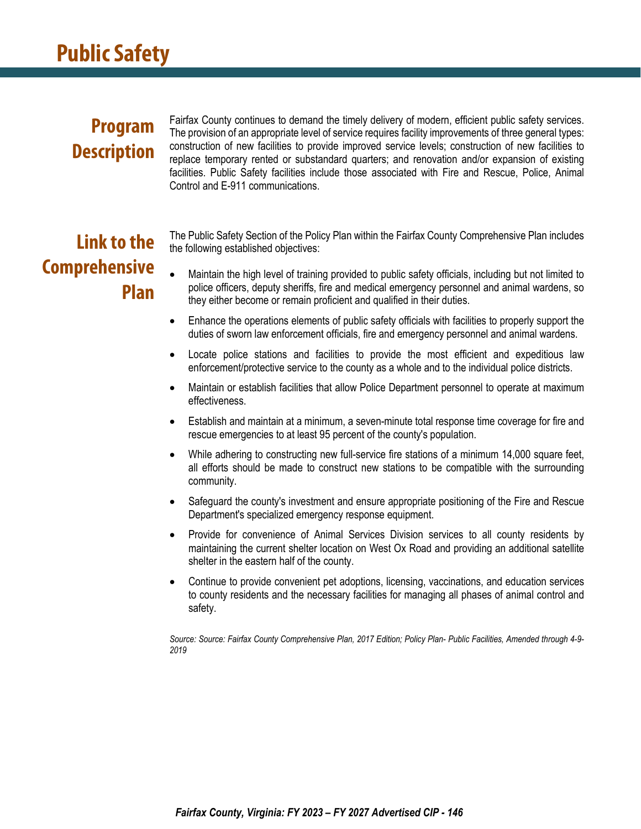### **Program Description**

Fairfax County continues to demand the timely delivery of modern, efficient public safety services. The provision of an appropriate level of service requires facility improvements of three general types: construction of new facilities to provide improved service levels; construction of new facilities to replace temporary rented or substandard quarters; and renovation and/or expansion of existing facilities. Public Safety facilities include those associated with Fire and Rescue, Police, Animal Control and E-911 communications.

# **Link to the Comprehensive Plan**

The Public Safety Section of the Policy Plan within the Fairfax County Comprehensive Plan includes the following established objectives:

- Maintain the high level of training provided to public safety officials, including but not limited to police officers, deputy sheriffs, fire and medical emergency personnel and animal wardens, so they either become or remain proficient and qualified in their duties.
- Enhance the operations elements of public safety officials with facilities to properly support the duties of sworn law enforcement officials, fire and emergency personnel and animal wardens.
- Locate police stations and facilities to provide the most efficient and expeditious law enforcement/protective service to the county as a whole and to the individual police districts.
- Maintain or establish facilities that allow Police Department personnel to operate at maximum effectiveness.
- Establish and maintain at a minimum, a seven-minute total response time coverage for fire and rescue emergencies to at least 95 percent of the county's population.
- While adhering to constructing new full-service fire stations of a minimum 14,000 square feet, all efforts should be made to construct new stations to be compatible with the surrounding community.
- Safeguard the county's investment and ensure appropriate positioning of the Fire and Rescue Department's specialized emergency response equipment.
- Provide for convenience of Animal Services Division services to all county residents by maintaining the current shelter location on West Ox Road and providing an additional satellite shelter in the eastern half of the county.
- Continue to provide convenient pet adoptions, licensing, vaccinations, and education services to county residents and the necessary facilities for managing all phases of animal control and safety.

*Source: Source: Fairfax County Comprehensive Plan, 2017 Edition; Policy Plan- Public Facilities, Amended through 4-9- 2019*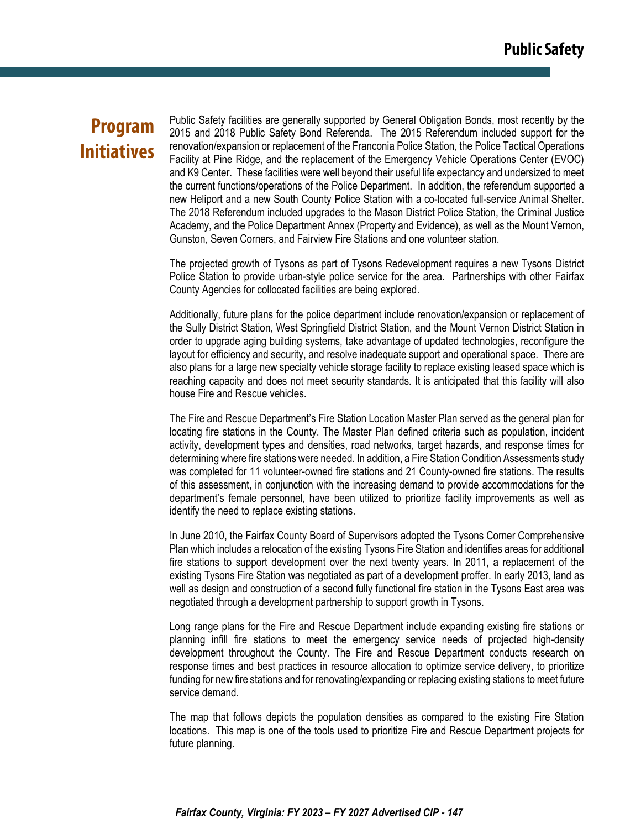### **Program Initiatives**

Public Safety facilities are generally supported by General Obligation Bonds, most recently by the 2015 and 2018 Public Safety Bond Referenda. The 2015 Referendum included support for the renovation/expansion or replacement of the Franconia Police Station, the Police Tactical Operations Facility at Pine Ridge, and the replacement of the Emergency Vehicle Operations Center (EVOC) and K9 Center. These facilities were well beyond their useful life expectancy and undersized to meet the current functions/operations of the Police Department. In addition, the referendum supported a new Heliport and a new South County Police Station with a co-located full-service Animal Shelter. The 2018 Referendum included upgrades to the Mason District Police Station, the Criminal Justice Academy, and the Police Department Annex (Property and Evidence), as well as the Mount Vernon, Gunston, Seven Corners, and Fairview Fire Stations and one volunteer station.

The projected growth of Tysons as part of Tysons Redevelopment requires a new Tysons District Police Station to provide urban-style police service for the area. Partnerships with other Fairfax County Agencies for collocated facilities are being explored.

Additionally, future plans for the police department include renovation/expansion or replacement of the Sully District Station, West Springfield District Station, and the Mount Vernon District Station in order to upgrade aging building systems, take advantage of updated technologies, reconfigure the layout for efficiency and security, and resolve inadequate support and operational space. There are also plans for a large new specialty vehicle storage facility to replace existing leased space which is reaching capacity and does not meet security standards. It is anticipated that this facility will also house Fire and Rescue vehicles.

The Fire and Rescue Department's Fire Station Location Master Plan served as the general plan for locating fire stations in the County. The Master Plan defined criteria such as population, incident activity, development types and densities, road networks, target hazards, and response times for determining where fire stations were needed. In addition, a Fire Station Condition Assessments study was completed for 11 volunteer-owned fire stations and 21 County-owned fire stations. The results of this assessment, in conjunction with the increasing demand to provide accommodations for the department's female personnel, have been utilized to prioritize facility improvements as well as identify the need to replace existing stations.

In June 2010, the Fairfax County Board of Supervisors adopted the Tysons Corner Comprehensive Plan which includes a relocation of the existing Tysons Fire Station and identifies areas for additional fire stations to support development over the next twenty years. In 2011, a replacement of the existing Tysons Fire Station was negotiated as part of a development proffer. In early 2013, land as well as design and construction of a second fully functional fire station in the Tysons East area was negotiated through a development partnership to support growth in Tysons.

Long range plans for the Fire and Rescue Department include expanding existing fire stations or planning infill fire stations to meet the emergency service needs of projected high-density development throughout the County. The Fire and Rescue Department conducts research on response times and best practices in resource allocation to optimize service delivery, to prioritize funding for new fire stations and for renovating/expanding or replacing existing stations to meet future service demand.

The map that follows depicts the population densities as compared to the existing Fire Station locations. This map is one of the tools used to prioritize Fire and Rescue Department projects for future planning.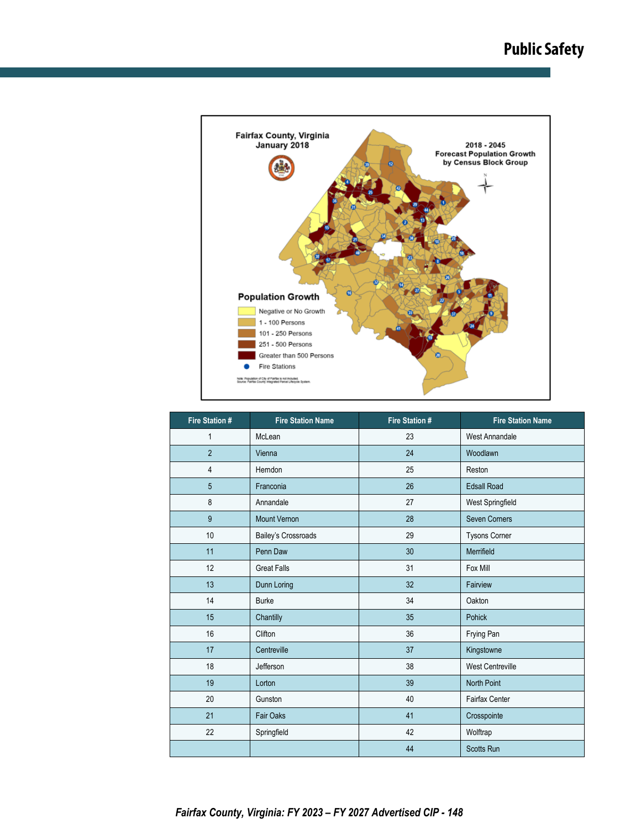

| <b>Fire Station #</b> | <b>Fire Station Name</b>   | <b>Fire Station #</b> | <b>Fire Station Name</b> |  |
|-----------------------|----------------------------|-----------------------|--------------------------|--|
| $\mathbf{1}$          | McLean                     | 23                    | <b>West Annandale</b>    |  |
| $\overline{2}$        | Vienna                     | 24                    | Woodlawn                 |  |
| 4                     | Herndon                    | 25                    | Reston                   |  |
| 5                     | Franconia                  | 26                    | <b>Edsall Road</b>       |  |
| 8                     | Annandale                  | 27                    | West Springfield         |  |
| 9                     | <b>Mount Vernon</b>        | 28                    | <b>Seven Corners</b>     |  |
| 10                    | <b>Bailey's Crossroads</b> | 29                    | Tysons Corner            |  |
| 11                    | Penn Daw                   | 30 <sup>°</sup>       | Merrifield               |  |
| 12                    | <b>Great Falls</b>         | 31                    | Fox Mill                 |  |
| 13                    | Dunn Loring                | 32                    | Fairview                 |  |
| 14                    | <b>Burke</b>               | 34                    | Oakton                   |  |
| 15                    | Chantilly                  | 35                    | <b>Pohick</b>            |  |
| 16                    | Clifton                    | 36                    | Frying Pan               |  |
| 17                    | Centreville                | 37                    | Kingstowne               |  |
| 18                    | Jefferson                  | 38                    | <b>West Centreville</b>  |  |
| 19                    | Lorton                     | 39                    | <b>North Point</b>       |  |
| 20                    | Gunston                    | 40                    | <b>Fairfax Center</b>    |  |
| 21                    | <b>Fair Oaks</b>           | 41                    | Crosspointe              |  |
| 22                    | Springfield                | 42                    | Wolftrap                 |  |
|                       |                            | 44                    | <b>Scotts Run</b>        |  |

*Fairfax County, Virginia: FY 2023 – FY 2027 Advertised CIP - 148*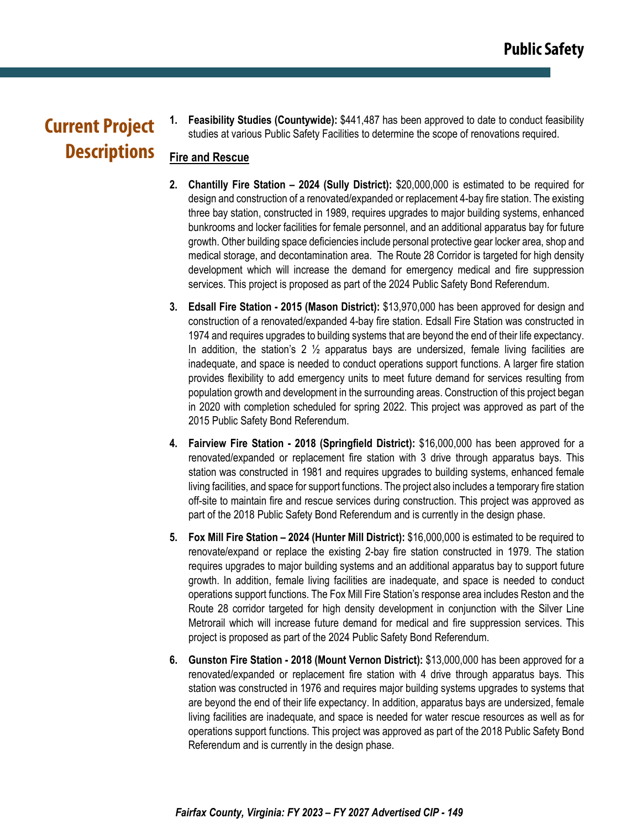## **Current Project Descriptions**

**1. Feasibility Studies (Countywide):** \$441,487 has been approved to date to conduct feasibility studies at various Public Safety Facilities to determine the scope of renovations required.

### **Fire and Rescue**

- **2. Chantilly Fire Station 2024 (Sully District):** \$20,000,000 is estimated to be required for design and construction of a renovated/expanded or replacement 4-bay fire station. The existing three bay station, constructed in 1989, requires upgrades to major building systems, enhanced bunkrooms and locker facilities for female personnel, and an additional apparatus bay for future growth. Other building space deficiencies include personal protective gear locker area, shop and medical storage, and decontamination area. The Route 28 Corridor is targeted for high density development which will increase the demand for emergency medical and fire suppression services. This project is proposed as part of the 2024 Public Safety Bond Referendum.
- **3. Edsall Fire Station 2015 (Mason District):** \$13,970,000 has been approved for design and construction of a renovated/expanded 4-bay fire station. Edsall Fire Station was constructed in 1974 and requires upgrades to building systems that are beyond the end of their life expectancy. In addition, the station's 2  $\frac{1}{2}$  apparatus bays are undersized, female living facilities are inadequate, and space is needed to conduct operations support functions. A larger fire station provides flexibility to add emergency units to meet future demand for services resulting from population growth and development in the surrounding areas. Construction of this project began in 2020 with completion scheduled for spring 2022. This project was approved as part of the 2015 Public Safety Bond Referendum.
- **4. Fairview Fire Station 2018 (Springfield District):** \$16,000,000 has been approved for a renovated/expanded or replacement fire station with 3 drive through apparatus bays. This station was constructed in 1981 and requires upgrades to building systems, enhanced female living facilities, and space for support functions. The project also includes a temporary fire station off-site to maintain fire and rescue services during construction. This project was approved as part of the 2018 Public Safety Bond Referendum and is currently in the design phase.
- **5. Fox Mill Fire Station 2024 (Hunter Mill District):** \$16,000,000 is estimated to be required to renovate/expand or replace the existing 2-bay fire station constructed in 1979. The station requires upgrades to major building systems and an additional apparatus bay to support future growth. In addition, female living facilities are inadequate, and space is needed to conduct operations support functions. The Fox Mill Fire Station's response area includes Reston and the Route 28 corridor targeted for high density development in conjunction with the Silver Line Metrorail which will increase future demand for medical and fire suppression services. This project is proposed as part of the 2024 Public Safety Bond Referendum.
- **6. Gunston Fire Station 2018 (Mount Vernon District):** \$13,000,000 has been approved for a renovated/expanded or replacement fire station with 4 drive through apparatus bays. This station was constructed in 1976 and requires major building systems upgrades to systems that are beyond the end of their life expectancy. In addition, apparatus bays are undersized, female living facilities are inadequate, and space is needed for water rescue resources as well as for operations support functions. This project was approved as part of the 2018 Public Safety Bond Referendum and is currently in the design phase.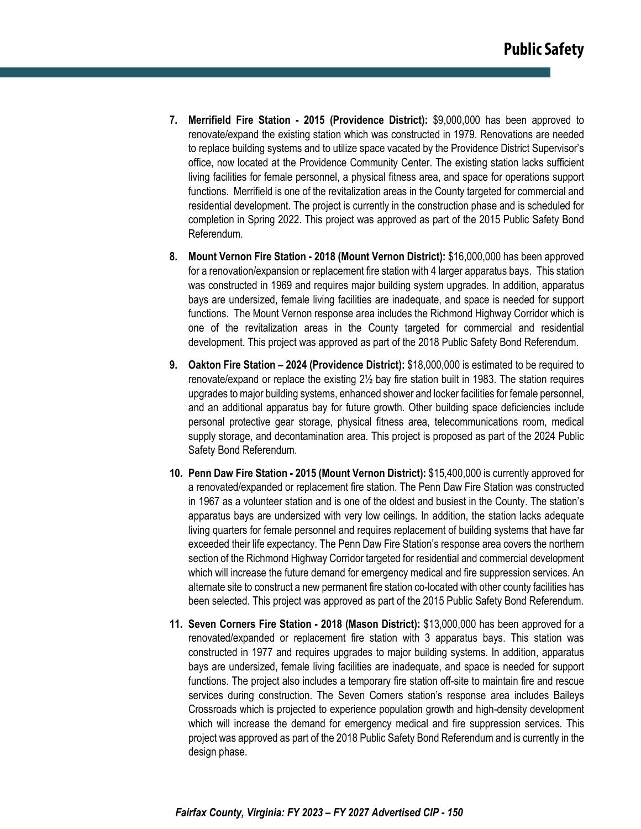- **7. Merrifield Fire Station 2015 (Providence District):** \$9,000,000 has been approved to renovate/expand the existing station which was constructed in 1979. Renovations are needed to replace building systems and to utilize space vacated by the Providence District Supervisor's office, now located at the Providence Community Center. The existing station lacks sufficient living facilities for female personnel, a physical fitness area, and space for operations support functions. Merrifield is one of the revitalization areas in the County targeted for commercial and residential development. The project is currently in the construction phase and is scheduled for completion in Spring 2022. This project was approved as part of the 2015 Public Safety Bond Referendum.
- **8. Mount Vernon Fire Station 2018 (Mount Vernon District):** \$16,000,000 has been approved for a renovation/expansion or replacement fire station with 4 larger apparatus bays. This station was constructed in 1969 and requires major building system upgrades. In addition, apparatus bays are undersized, female living facilities are inadequate, and space is needed for support functions. The Mount Vernon response area includes the Richmond Highway Corridor which is one of the revitalization areas in the County targeted for commercial and residential development. This project was approved as part of the 2018 Public Safety Bond Referendum.
- **9. Oakton Fire Station 2024 (Providence District):** \$18,000,000 is estimated to be required to renovate/expand or replace the existing 2½ bay fire station built in 1983. The station requires upgrades to major building systems, enhanced shower and locker facilities for female personnel, and an additional apparatus bay for future growth. Other building space deficiencies include personal protective gear storage, physical fitness area, telecommunications room, medical supply storage, and decontamination area. This project is proposed as part of the 2024 Public Safety Bond Referendum.
- **10. Penn Daw Fire Station 2015 (Mount Vernon District):** \$15,400,000 is currently approved for a renovated/expanded or replacement fire station. The Penn Daw Fire Station was constructed in 1967 as a volunteer station and is one of the oldest and busiest in the County. The station's apparatus bays are undersized with very low ceilings. In addition, the station lacks adequate living quarters for female personnel and requires replacement of building systems that have far exceeded their life expectancy. The Penn Daw Fire Station's response area covers the northern section of the Richmond Highway Corridor targeted for residential and commercial development which will increase the future demand for emergency medical and fire suppression services. An alternate site to construct a new permanent fire station co-located with other county facilities has been selected. This project was approved as part of the 2015 Public Safety Bond Referendum.
- **11. Seven Corners Fire Station 2018 (Mason District):** \$13,000,000 has been approved for a renovated/expanded or replacement fire station with 3 apparatus bays. This station was constructed in 1977 and requires upgrades to major building systems. In addition, apparatus bays are undersized, female living facilities are inadequate, and space is needed for support functions. The project also includes a temporary fire station off-site to maintain fire and rescue services during construction. The Seven Corners station's response area includes Baileys Crossroads which is projected to experience population growth and high-density development which will increase the demand for emergency medical and fire suppression services. This project was approved as part of the 2018 Public Safety Bond Referendum and is currently in the design phase.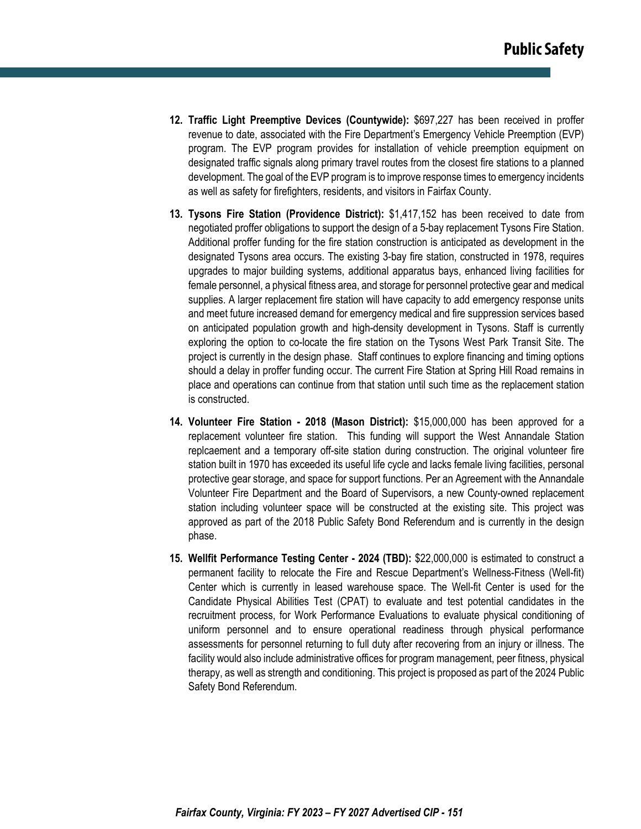- **12. Traffic Light Preemptive Devices (Countywide):** \$697,227 has been received in proffer revenue to date, associated with the Fire Department's Emergency Vehicle Preemption (EVP) program. The EVP program provides for installation of vehicle preemption equipment on designated traffic signals along primary travel routes from the closest fire stations to a planned development. The goal of the EVP program is to improve response times to emergency incidents as well as safety for firefighters, residents, and visitors in Fairfax County.
- **13. Tysons Fire Station (Providence District):** \$1,417,152 has been received to date from negotiated proffer obligations to support the design of a 5-bay replacement Tysons Fire Station. Additional proffer funding for the fire station construction is anticipated as development in the designated Tysons area occurs. The existing 3-bay fire station, constructed in 1978, requires upgrades to major building systems, additional apparatus bays, enhanced living facilities for female personnel, a physical fitness area, and storage for personnel protective gear and medical supplies. A larger replacement fire station will have capacity to add emergency response units and meet future increased demand for emergency medical and fire suppression services based on anticipated population growth and high-density development in Tysons. Staff is currently exploring the option to co-locate the fire station on the Tysons West Park Transit Site. The project is currently in the design phase. Staff continues to explore financing and timing options should a delay in proffer funding occur. The current Fire Station at Spring Hill Road remains in place and operations can continue from that station until such time as the replacement station is constructed.
- **14. Volunteer Fire Station 2018 (Mason District):** \$15,000,000 has been approved for a replacement volunteer fire station. This funding will support the West Annandale Station replcaement and a temporary off-site station during construction. The original volunteer fire station built in 1970 has exceeded its useful life cycle and lacks female living facilities, personal protective gear storage, and space for support functions. Per an Agreement with the Annandale Volunteer Fire Department and the Board of Supervisors, a new County-owned replacement station including volunteer space will be constructed at the existing site. This project was approved as part of the 2018 Public Safety Bond Referendum and is currently in the design phase.
- **15. Wellfit Performance Testing Center 2024 (TBD):** \$22,000,000 is estimated to construct a permanent facility to relocate the Fire and Rescue Department's Wellness-Fitness (Well-fit) Center which is currently in leased warehouse space. The Well-fit Center is used for the Candidate Physical Abilities Test (CPAT) to evaluate and test potential candidates in the recruitment process, for Work Performance Evaluations to evaluate physical conditioning of uniform personnel and to ensure operational readiness through physical performance assessments for personnel returning to full duty after recovering from an injury or illness. The facility would also include administrative offices for program management, peer fitness, physical therapy, as well as strength and conditioning. This project is proposed as part of the 2024 Public Safety Bond Referendum.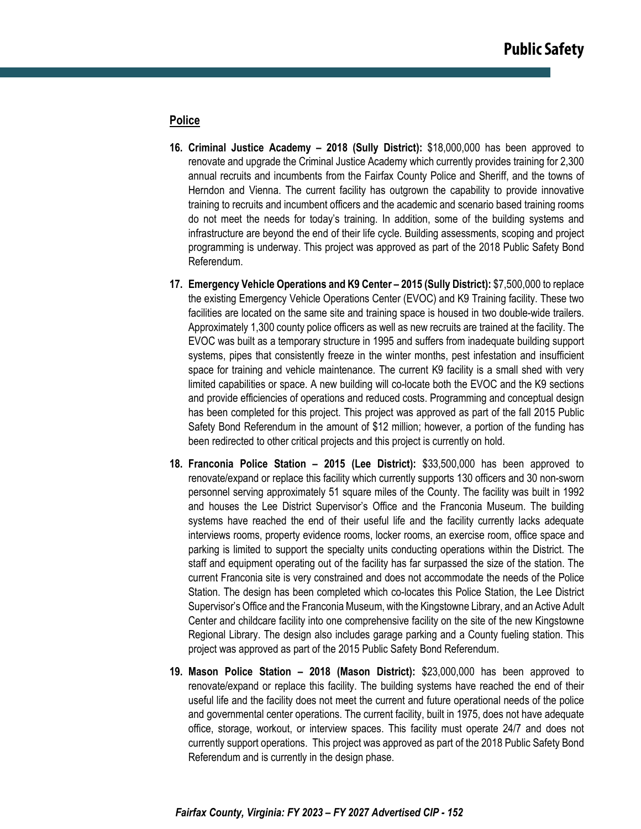#### **Police**

- **16. Criminal Justice Academy 2018 (Sully District):** \$18,000,000 has been approved to renovate and upgrade the Criminal Justice Academy which currently provides training for 2,300 annual recruits and incumbents from the Fairfax County Police and Sheriff, and the towns of Herndon and Vienna. The current facility has outgrown the capability to provide innovative training to recruits and incumbent officers and the academic and scenario based training rooms do not meet the needs for today's training. In addition, some of the building systems and infrastructure are beyond the end of their life cycle. Building assessments, scoping and project programming is underway. This project was approved as part of the 2018 Public Safety Bond Referendum.
- **17. Emergency Vehicle Operations and K9 Center 2015 (Sully District):** \$7,500,000 to replace the existing Emergency Vehicle Operations Center (EVOC) and K9 Training facility. These two facilities are located on the same site and training space is housed in two double-wide trailers. Approximately 1,300 county police officers as well as new recruits are trained at the facility. The EVOC was built as a temporary structure in 1995 and suffers from inadequate building support systems, pipes that consistently freeze in the winter months, pest infestation and insufficient space for training and vehicle maintenance. The current K9 facility is a small shed with very limited capabilities or space. A new building will co-locate both the EVOC and the K9 sections and provide efficiencies of operations and reduced costs. Programming and conceptual design has been completed for this project. This project was approved as part of the fall 2015 Public Safety Bond Referendum in the amount of \$12 million; however, a portion of the funding has been redirected to other critical projects and this project is currently on hold.
- **18. Franconia Police Station 2015 (Lee District):** \$33,500,000 has been approved to renovate/expand or replace this facility which currently supports 130 officers and 30 non-sworn personnel serving approximately 51 square miles of the County. The facility was built in 1992 and houses the Lee District Supervisor's Office and the Franconia Museum. The building systems have reached the end of their useful life and the facility currently lacks adequate interviews rooms, property evidence rooms, locker rooms, an exercise room, office space and parking is limited to support the specialty units conducting operations within the District. The staff and equipment operating out of the facility has far surpassed the size of the station. The current Franconia site is very constrained and does not accommodate the needs of the Police Station. The design has been completed which co-locates this Police Station, the Lee District Supervisor's Office and the Franconia Museum, with the Kingstowne Library, and an Active Adult Center and childcare facility into one comprehensive facility on the site of the new Kingstowne Regional Library. The design also includes garage parking and a County fueling station. This project was approved as part of the 2015 Public Safety Bond Referendum.
- **19. Mason Police Station 2018 (Mason District):** \$23,000,000 has been approved to renovate/expand or replace this facility. The building systems have reached the end of their useful life and the facility does not meet the current and future operational needs of the police and governmental center operations. The current facility, built in 1975, does not have adequate office, storage, workout, or interview spaces. This facility must operate 24/7 and does not currently support operations. This project was approved as part of the 2018 Public Safety Bond Referendum and is currently in the design phase.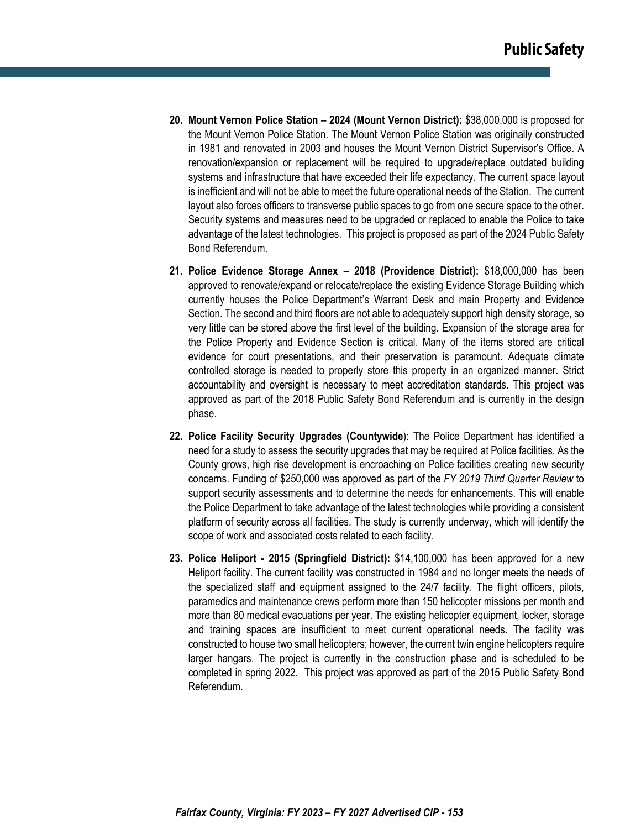- **20. Mount Vernon Police Station 2024 (Mount Vernon District):** \$38,000,000 is proposed for the Mount Vernon Police Station. The Mount Vernon Police Station was originally constructed in 1981 and renovated in 2003 and houses the Mount Vernon District Supervisor's Office. A renovation/expansion or replacement will be required to upgrade/replace outdated building systems and infrastructure that have exceeded their life expectancy. The current space layout is inefficient and will not be able to meet the future operational needs of the Station. The current layout also forces officers to transverse public spaces to go from one secure space to the other. Security systems and measures need to be upgraded or replaced to enable the Police to take advantage of the latest technologies. This project is proposed as part of the 2024 Public Safety Bond Referendum.
- **21. Police Evidence Storage Annex 2018 (Providence District):** \$18,000,000 has been approved to renovate/expand or relocate/replace the existing Evidence Storage Building which currently houses the Police Department's Warrant Desk and main Property and Evidence Section. The second and third floors are not able to adequately support high density storage, so very little can be stored above the first level of the building. Expansion of the storage area for the Police Property and Evidence Section is critical. Many of the items stored are critical evidence for court presentations, and their preservation is paramount. Adequate climate controlled storage is needed to properly store this property in an organized manner. Strict accountability and oversight is necessary to meet accreditation standards. This project was approved as part of the 2018 Public Safety Bond Referendum and is currently in the design phase.
- **22. Police Facility Security Upgrades (Countywide**): The Police Department has identified a need for a study to assess the security upgrades that may be required at Police facilities. As the County grows, high rise development is encroaching on Police facilities creating new security concerns. Funding of \$250,000 was approved as part of the *FY 2019 Third Quarter Review* to support security assessments and to determine the needs for enhancements. This will enable the Police Department to take advantage of the latest technologies while providing a consistent platform of security across all facilities. The study is currently underway, which will identify the scope of work and associated costs related to each facility.
- **23. Police Heliport 2015 (Springfield District):** \$14,100,000 has been approved for a new Heliport facility. The current facility was constructed in 1984 and no longer meets the needs of the specialized staff and equipment assigned to the 24/7 facility. The flight officers, pilots, paramedics and maintenance crews perform more than 150 helicopter missions per month and more than 80 medical evacuations per year. The existing helicopter equipment, locker, storage and training spaces are insufficient to meet current operational needs. The facility was constructed to house two small helicopters; however, the current twin engine helicopters require larger hangars. The project is currently in the construction phase and is scheduled to be completed in spring 2022. This project was approved as part of the 2015 Public Safety Bond Referendum.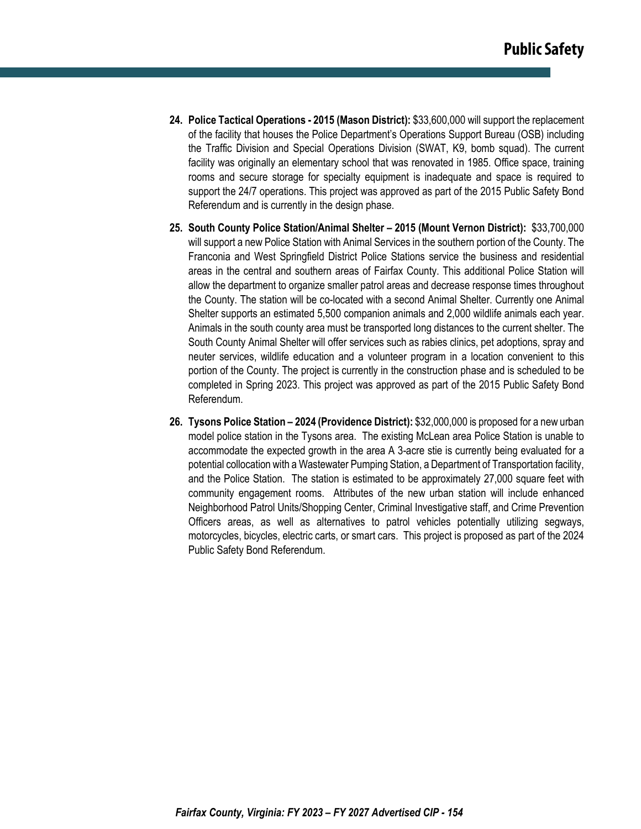- **24. Police Tactical Operations 2015 (Mason District):** \$33,600,000 will support the replacement of the facility that houses the Police Department's Operations Support Bureau (OSB) including the Traffic Division and Special Operations Division (SWAT, K9, bomb squad). The current facility was originally an elementary school that was renovated in 1985. Office space, training rooms and secure storage for specialty equipment is inadequate and space is required to support the 24/7 operations. This project was approved as part of the 2015 Public Safety Bond Referendum and is currently in the design phase.
- **25. South County Police Station/Animal Shelter 2015 (Mount Vernon District):** \$33,700,000 will support a new Police Station with Animal Services in the southern portion of the County. The Franconia and West Springfield District Police Stations service the business and residential areas in the central and southern areas of Fairfax County. This additional Police Station will allow the department to organize smaller patrol areas and decrease response times throughout the County. The station will be co-located with a second Animal Shelter. Currently one Animal Shelter supports an estimated 5,500 companion animals and 2,000 wildlife animals each year. Animals in the south county area must be transported long distances to the current shelter. The South County Animal Shelter will offer services such as rabies clinics, pet adoptions, spray and neuter services, wildlife education and a volunteer program in a location convenient to this portion of the County. The project is currently in the construction phase and is scheduled to be completed in Spring 2023. This project was approved as part of the 2015 Public Safety Bond Referendum.
- **26. Tysons Police Station 2024 (Providence District):** \$32,000,000 is proposed for a new urban model police station in the Tysons area. The existing McLean area Police Station is unable to accommodate the expected growth in the area A 3-acre stie is currently being evaluated for a potential collocation with a Wastewater Pumping Station, a Department of Transportation facility, and the Police Station. The station is estimated to be approximately 27,000 square feet with community engagement rooms. Attributes of the new urban station will include enhanced Neighborhood Patrol Units/Shopping Center, Criminal Investigative staff, and Crime Prevention Officers areas, as well as alternatives to patrol vehicles potentially utilizing segways, motorcycles, bicycles, electric carts, or smart cars. This project is proposed as part of the 2024 Public Safety Bond Referendum.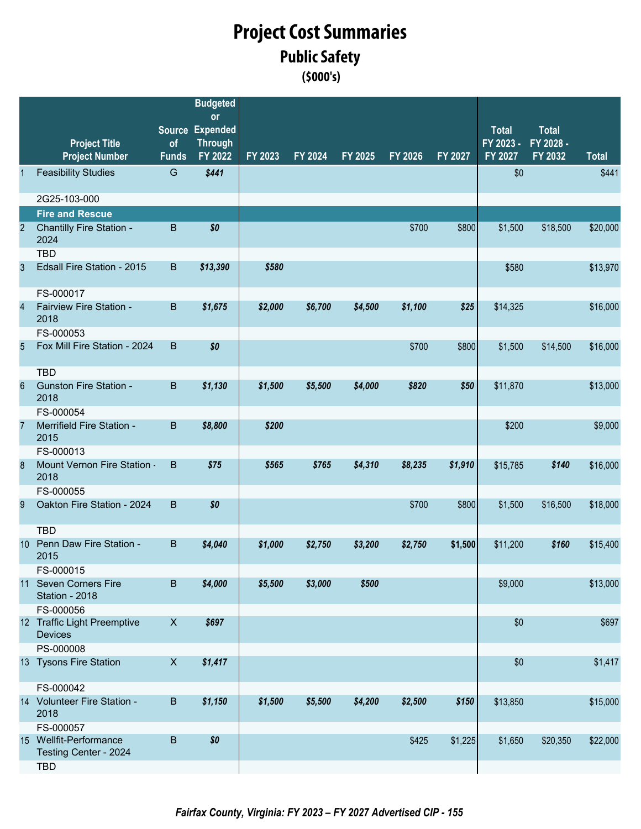### **(\$000's) Public Safety Project Cost Summaries**

|                |                                                 |                           | <b>Budgeted</b><br>or     |         |         |         |         |         |                      |                      |              |
|----------------|-------------------------------------------------|---------------------------|---------------------------|---------|---------|---------|---------|---------|----------------------|----------------------|--------------|
|                |                                                 |                           | Source Expended           |         |         |         |         |         | <b>Total</b>         | <b>Total</b>         |              |
|                | <b>Project Title</b><br><b>Project Number</b>   | of<br><b>Funds</b>        | <b>Through</b><br>FY 2022 | FY 2023 | FY 2024 | FY 2025 | FY 2026 | FY 2027 | FY 2023 -<br>FY 2027 | FY 2028 -<br>FY 2032 | <b>Total</b> |
|                | <b>Feasibility Studies</b>                      | G                         | \$441                     |         |         |         |         |         | \$0                  |                      | \$441        |
|                | 2G25-103-000                                    |                           |                           |         |         |         |         |         |                      |                      |              |
|                | <b>Fire and Rescue</b>                          |                           |                           |         |         |         |         |         |                      |                      |              |
| 2              | Chantilly Fire Station -<br>2024                | B                         | \$0                       |         |         |         | \$700   | \$800   | \$1,500              | \$18,500             | \$20,000     |
|                | <b>TBD</b>                                      |                           |                           |         |         |         |         |         |                      |                      |              |
| 3              | Edsall Fire Station - 2015                      | $\mathsf B$               | \$13,390                  | \$580   |         |         |         |         | \$580                |                      | \$13,970     |
|                | FS-000017                                       |                           |                           |         |         |         |         |         |                      |                      |              |
| $\overline{4}$ | Fairview Fire Station -<br>2018                 | $\mathsf B$               | \$1,675                   | \$2,000 | \$6,700 | \$4,500 | \$1,100 | \$25    | \$14,325             |                      | \$16,000     |
|                | FS-000053                                       |                           |                           |         |         |         |         |         |                      |                      |              |
| 5              | Fox Mill Fire Station - 2024                    | B                         | \$0                       |         |         |         | \$700   | \$800   | \$1,500              | \$14,500             | \$16,000     |
|                | <b>TBD</b>                                      |                           |                           |         |         |         |         |         |                      |                      |              |
| 6              | <b>Gunston Fire Station -</b><br>2018           | $\, {\bf B}$              | \$1,130                   | \$1,500 | \$5,500 | \$4,000 | \$820   | \$50    | \$11,870             |                      | \$13,000     |
|                | FS-000054                                       |                           |                           |         |         |         |         |         |                      |                      |              |
| 7              | Merrifield Fire Station -<br>2015               | $\sf B$                   | \$8,800                   | \$200   |         |         |         |         | \$200                |                      | \$9,000      |
|                | FS-000013                                       |                           |                           |         |         |         |         |         |                      |                      |              |
| 8              | Mount Vernon Fire Station -<br>2018             | B                         | \$75                      | \$565   | \$765   | \$4,310 | \$8,235 | \$1,910 | \$15,785             | \$140                | \$16,000     |
|                | FS-000055                                       |                           |                           |         |         |         |         |         |                      |                      |              |
| 9              | Oakton Fire Station - 2024                      | B                         | \$0                       |         |         |         | \$700   | \$800   | \$1,500              | \$16,500             | \$18,000     |
|                | <b>TBD</b>                                      |                           |                           |         |         |         |         |         |                      |                      |              |
| 10             | Penn Daw Fire Station -<br>2015                 | B                         | \$4,040                   | \$1,000 | \$2,750 | \$3,200 | \$2,750 | \$1,500 | \$11,200             | \$160                | \$15,400     |
|                | FS-000015                                       |                           |                           |         |         |         |         |         |                      |                      |              |
|                | 11 Seven Corners Fire<br>Station - 2018         | $\sf B$                   | \$4,000                   | \$5,500 | \$3,000 | \$500   |         |         | \$9,000              |                      | \$13,000     |
|                | FS-000056                                       |                           |                           |         |         |         |         |         |                      |                      |              |
|                | 12 Traffic Light Preemptive<br><b>Devices</b>   | $\boldsymbol{\mathsf{X}}$ | \$697                     |         |         |         |         |         | \$0                  |                      | \$697        |
|                | PS-000008                                       |                           |                           |         |         |         |         |         |                      |                      |              |
|                | 13 Tysons Fire Station                          | $\boldsymbol{\mathsf{X}}$ | \$1,417                   |         |         |         |         |         | \$0                  |                      | \$1,417      |
|                | FS-000042                                       |                           |                           |         |         |         |         |         |                      |                      |              |
|                | 14 Volunteer Fire Station -<br>2018             | $\sf B$                   | \$1,150                   | \$1,500 | \$5,500 | \$4,200 | \$2,500 | \$150   | \$13,850             |                      | \$15,000     |
|                | FS-000057                                       |                           |                           |         |         |         |         |         |                      |                      |              |
|                | 15 Wellfit-Performance<br>Testing Center - 2024 | $\sf B$                   | \$0                       |         |         |         | \$425   | \$1,225 | \$1,650              | \$20,350             | \$22,000     |
|                | <b>TBD</b>                                      |                           |                           |         |         |         |         |         |                      |                      |              |